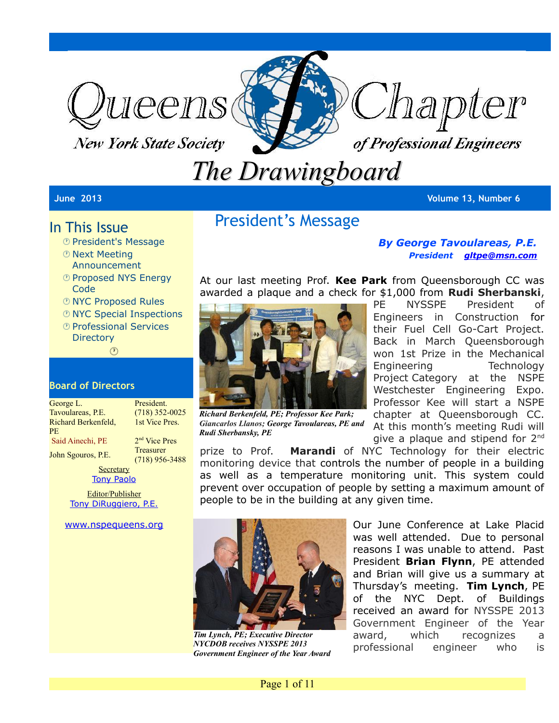

**New York State Society** 



# *The Drawingboard*

#### **June 2013 Volume 13, Number 6**

### In This Issue

- President's Message
- *®* Next Meeting Announcement
- **D** Proposed NYS Energy Code
- NYC Proposed Rules
- NYC Special Inspections
- Professional Services **Directory**

#### $(1)$

### **Board of Directors**

George L. Tavoulareas, P.E. Richard Berkenfeld, **PF** 

President. (718) 352-0025 1st Vice Pres.

Said Ainechi, PE

2<sup>nd</sup> Vice Pres

John Sgouros, P.E. Treasurer

(718) 956-3488 **Secretary** [Tony Paolo](mailto:impala1967@verizon.net?subject=Drawingboard%20Feedback(Sept.%2006):)

Editor/Publisher [Tony DiRuggiero, P.E.](mailto:avd706@aol.com?subject=FEEDBACK:APRIL%20)

#### [www.nspequeens.org](http://www.nspequeens.org/)

### President's Message

### *By George Tavoulareas, P.E. President [gltpe@msn.com](mailto:gltpe@msn.com)*

At our last meeting Prof. **Kee Park** from Queensborough CC was awarded a plaque and a check for \$1,000 from **Rudi Sherbanski**,



*Richard Berkenfeld, PE; Professor Kee Park; Giancarlos Llanos; George Tavoulareas, PE and Rudi Sherbansky, PE*

PE NYSSPE President of Engineers in Construction for their Fuel Cell Go-Cart Project. Back in March Queensborough won 1st Prize in the Mechanical Engineering Technology Project Category at the NSPE Westchester Engineering Expo. Professor Kee will start a NSPE chapter at Queensborough CC. At this month's meeting Rudi will give a plaque and stipend for  $2^{nd}$ 

prize to Prof. **Marandi** of NYC Technology for their electric monitoring device that controls the number of people in a building as well as a temperature monitoring unit. This system could prevent over occupation of people by setting a maximum amount of people to be in the building at any given time.



*Tim Lynch, PE; Executive Director NYCDOB receives NYSSPE 2013 Government Engineer of the Year Award*

Our June Conference at Lake Placid was well attended. Due to personal reasons I was unable to attend. Past President **Brian Flynn**, PE attended and Brian will give us a summary at Thursday's meeting. **Tim Lynch**, PE of the NYC Dept. of Buildings received an award for NYSSPE 2013 Government Engineer of the Year award, which recognizes a professional engineer who is

Page 1 of 11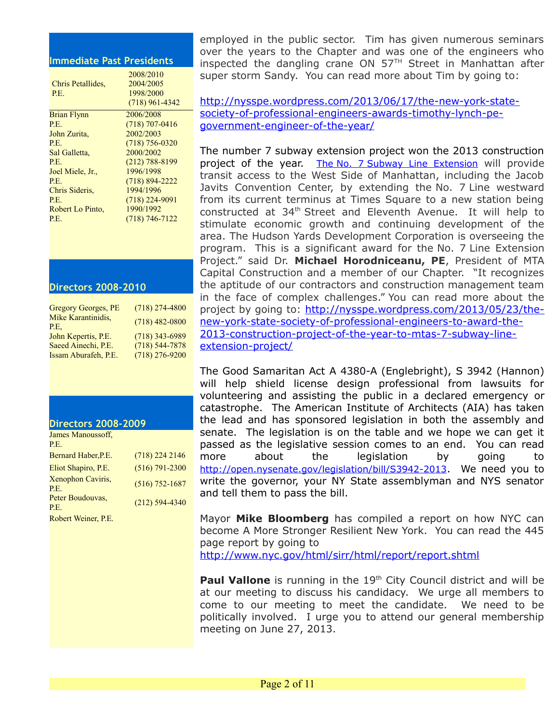### **Immediate Past Presidents**

| Chris Petallides.<br>P.E. | 2008/2010<br>2004/2005<br>1998/2000 |
|---------------------------|-------------------------------------|
|                           | $(718)$ 961-4342                    |
| <b>Brian Flynn</b>        | 2006/2008                           |
| P.E.                      | $(718)$ 707-0416                    |
| John Zurita,              | 2002/2003                           |
| P.E.                      | $(718) 756 - 0320$                  |
| Sal Galletta,             | 2000/2002                           |
| P.E.                      | $(212)$ 788-8199                    |
| Joel Miele, Jr.,          | 1996/1998                           |
| P.E.                      | $(718) 894 - 2222$                  |
| Chris Sideris,            | 1994/1996                           |
| P.E.                      | $(718)$ 224-9091                    |
| Robert Lo Pinto,          | 1990/1992                           |
| P.E.                      | $(718) 746 - 7122$                  |

#### **Directors 2008-2010**

| <b>Gregory Georges, PE</b> | $(718)$ 274-4800   |
|----------------------------|--------------------|
| Mike Karantinidis,         | $(718)$ 482-0800   |
| P.E.                       |                    |
| John Kepertis, P.E.        | $(718)$ 343-6989   |
| Saeed Ainechi, P.E.        | $(718) 544 - 7878$ |
| Issam Aburafeh, P.E.       | $(718)$ 276-9200   |

#### **Directors 2008-2009**

| James Manoussoff.<br>P.E. |                    |
|---------------------------|--------------------|
| Bernard Haber, P.E.       | $(718)$ 224 2146   |
| Eliot Shapiro, P.E.       | $(516) 791 - 2300$ |
| Xenophon Caviris,<br>P.E. | $(516) 752 - 1687$ |
| Peter Boudouvas,<br>P.E.  | $(212)$ 594-4340   |
| Robert Weiner, P.E.       |                    |

employed in the public sector. Tim has given numerous seminars over the years to the Chapter and was one of the engineers who inspected the dangling crane ON  $57<sup>TH</sup>$  Street in Manhattan after super storm Sandy. You can read more about Tim by going to:

[http://nysspe.wordpress.com/2013/06/17/the-new-york-state](http://nysspe.wordpress.com/2013/06/17/the-new-york-state-society-of-professional-engineers-awards-timothy-lynch-pe-government-engineer-of-the-year/)[society-of-professional-engineers-awards-timothy-lynch-pe](http://nysspe.wordpress.com/2013/06/17/the-new-york-state-society-of-professional-engineers-awards-timothy-lynch-pe-government-engineer-of-the-year/)[government-engineer-of-the-year/](http://nysspe.wordpress.com/2013/06/17/the-new-york-state-society-of-professional-engineers-awards-timothy-lynch-pe-government-engineer-of-the-year/)

The number 7 subway extension project won the 2013 construction project of the year. [The No. 7 Subway Line Extension](http://www.youtube.com/watch?v=ugFZSPcJWTU) will provide transit access to the West Side of Manhattan, including the Jacob Javits Convention Center, by extending the No. 7 Line westward from its current terminus at Times Square to a new station being constructed at 34<sup>th</sup> Street and Eleventh Avenue. It will help to stimulate economic growth and continuing development of the area. The Hudson Yards Development Corporation is overseeing the program. This is a significant award for the No. 7 Line Extension Project." said Dr. **Michael Horodniceanu, PE**, President of MTA Capital Construction and a member of our Chapter. "It recognizes the aptitude of our contractors and construction management team in the face of complex challenges." You can read more about the project by going to: [http://nysspe.wordpress.com/2013/05/23/the](http://nysspe.wordpress.com/2013/05/23/the-new-york-state-society-of-professional-engineers-to-award-the-2013-construction-project-of-the-year-to-mtas-7-subway-line-extension-project/)[new-york-state-society-of-professional-engineers-to-award-the-](http://nysspe.wordpress.com/2013/05/23/the-new-york-state-society-of-professional-engineers-to-award-the-2013-construction-project-of-the-year-to-mtas-7-subway-line-extension-project/)2013-construction-project-of-the-year-to-mtas-7-subway-line[extension-project/](http://nysspe.wordpress.com/2013/05/23/the-new-york-state-society-of-professional-engineers-to-award-the-2013-construction-project-of-the-year-to-mtas-7-subway-line-extension-project/)

The Good Samaritan Act A 4380-A (Englebright), S 3942 (Hannon) will help shield license design professional from lawsuits for volunteering and assisting the public in a declared emergency or catastrophe. The American Institute of Architects (AIA) has taken the lead and has sponsored legislation in both the assembly and senate. The legislation is on the table and we hope we can get it passed as the legislative session comes to an end. You can read more about the legislation by going to <http://open.nysenate.gov/legislation/bill/S3942-2013>. We need you to write the governor, your NY State assemblyman and NYS senator and tell them to pass the bill.

Mayor **Mike Bloomberg** has compiled a report on how NYC can become A More Stronger Resilient New York. You can read the 445 page report by going to

<http://www.nyc.gov/html/sirr/html/report/report.shtml>

Paul Vallone is running in the 19<sup>th</sup> City Council district and will be at our meeting to discuss his candidacy. We urge all members to come to our meeting to meet the candidate. We need to be politically involved. I urge you to attend our general membership meeting on June 27, 2013.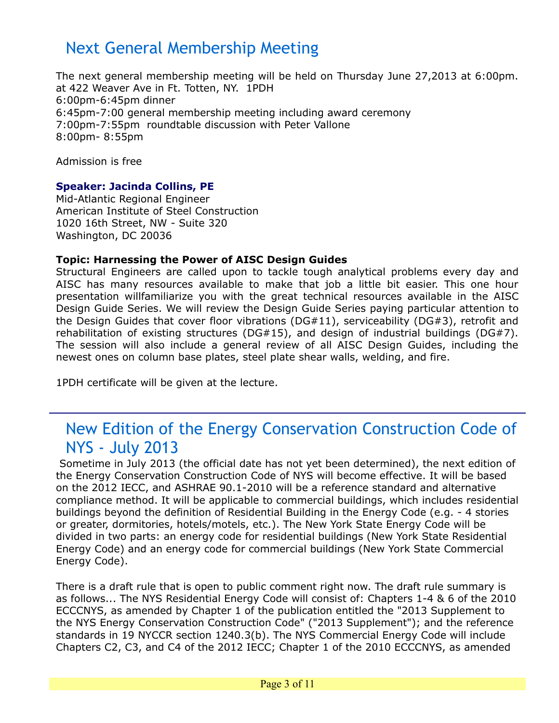### Next General Membership Meeting

The next general membership meeting will be held on Thursday June 27,2013 at 6:00pm. at 422 Weaver Ave in Ft. Totten, NY. 1PDH 6:00pm-6:45pm dinner 6:45pm-7:00 general membership meeting including award ceremony 7:00pm-7:55pm roundtable discussion with Peter Vallone 8:00pm- 8:55pm

Admission is free

### **Speaker: Jacinda Collins, PE**

Mid-Atlantic Regional Engineer American Institute of Steel Construction 1020 16th Street, NW - Suite 320 Washington, DC 20036

### **Topic: Harnessing the Power of AISC Design Guides**

Structural Engineers are called upon to tackle tough analytical problems every day and AISC has many resources available to make that job a little bit easier. This one hour presentation willfamiliarize you with the great technical resources available in the AISC Design Guide Series. We will review the Design Guide Series paying particular attention to the Design Guides that cover floor vibrations (DG#11), serviceability (DG#3), retrofit and rehabilitation of existing structures (DG#15), and design of industrial buildings (DG#7). The session will also include a general review of all AISC Design Guides, including the newest ones on column base plates, steel plate shear walls, welding, and fire.

1PDH certificate will be given at the lecture.

### New Edition of the Energy Conservation Construction Code of NYS - July 2013

Sometime in July 2013 (the official date has not yet been determined), the next edition of the Energy Conservation Construction Code of NYS will become effective. It will be based on the 2012 IECC, and ASHRAE 90.1-2010 will be a reference standard and alternative compliance method. It will be applicable to commercial buildings, which includes residential buildings beyond the definition of Residential Building in the Energy Code (e.g. - 4 stories or greater, dormitories, hotels/motels, etc.). The New York State Energy Code will be divided in two parts: an energy code for residential buildings (New York State Residential Energy Code) and an energy code for commercial buildings (New York State Commercial Energy Code).

There is a draft rule that is open to public comment right now. The draft rule summary is as follows... The NYS Residential Energy Code will consist of: Chapters 1-4 & 6 of the 2010 ECCCNYS, as amended by Chapter 1 of the publication entitled the "2013 Supplement to the NYS Energy Conservation Construction Code" ("2013 Supplement"); and the reference standards in 19 NYCCR section 1240.3(b). The NYS Commercial Energy Code will include Chapters C2, C3, and C4 of the 2012 IECC; Chapter 1 of the 2010 ECCCNYS, as amended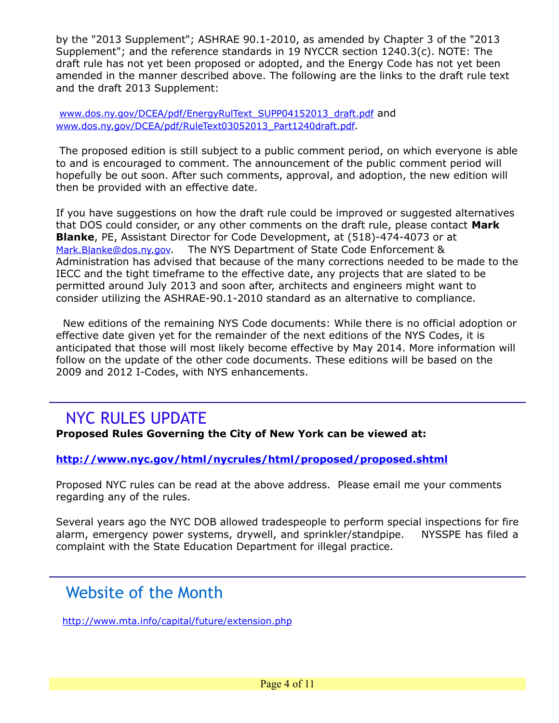by the "2013 Supplement"; ASHRAE 90.1-2010, as amended by Chapter 3 of the "2013 Supplement"; and the reference standards in 19 NYCCR section 1240.3(c). NOTE: The draft rule has not yet been proposed or adopted, and the Energy Code has not yet been amended in the manner described above. The following are the links to the draft rule text and the draft 2013 Supplement:

[www.dos.ny.gov/DCEA/pdf/EnergyRulText\\_SUPP04152013\\_draft.pdf](http://r20.rs6.net/tn.jsp?e=0014O2fpu8Cj23clvsngo9fHCHaunDpwPWQFIbDgfSEeKAHwk_eXCcPre3sec3H-udDJ-17KtKLwwCTWF_luTRBMp89MLEA6unkPhvihTS9pkhBvajFw69sBs8qAd73XJ0HHPr1kMFyn4gOZjoc_kjBDkuFaoSzyj_1f0t6XozKsa2fTKDf9QPYQg==) and [www.dos.ny.gov/DCEA/pdf/RuleText03052013\\_Part1240draft.pdf](http://r20.rs6.net/tn.jsp?e=0014O2fpu8Cj23MoOzh7uvv8r7csGx_zH2iCPnFAj0605vWALV5RcId5onQHZI_cGEq-REqQXn7k341wqV8uRWrBJFomr8mLPeamSzg4OB70fdlO0lyNyjSMbigIuaRg1gBPBnTm9xbbybicsIMq2F7-DNB4XbqIMiCIP8_qp7y0hhISKaG4pUxVg==).

The proposed edition is still subject to a public comment period, on which everyone is able to and is encouraged to comment. The announcement of the public comment period will hopefully be out soon. After such comments, approval, and adoption, the new edition will then be provided with an effective date.

If you have suggestions on how the draft rule could be improved or suggested alternatives that DOS could consider, or any other comments on the draft rule, please contact **Mark Blanke**, PE, Assistant Director for Code Development, at (518)-474-4073 or at [Mark.Blanke@dos.ny.gov](mailto:Mark.Blanke@dos.ny.gov). The NYS Department of State Code Enforcement & Administration has advised that because of the many corrections needed to be made to the IECC and the tight timeframe to the effective date, any projects that are slated to be permitted around July 2013 and soon after, architects and engineers might want to consider utilizing the ASHRAE-90.1-2010 standard as an alternative to compliance.

New editions of the remaining NYS Code documents: While there is no official adoption or effective date given yet for the remainder of the next editions of the NYS Codes, it is anticipated that those will most likely become effective by May 2014. More information will follow on the update of the other code documents. These editions will be based on the 2009 and 2012 I-Codes, with NYS enhancements.

### NYC RULES UPDATE

**Proposed Rules Governing the City of New York can be viewed at:**

### **<http://www.nyc.gov/html/nycrules/html/proposed/proposed.shtml>**

Proposed NYC rules can be read at the above address. Please email me your comments regarding any of the rules.

Several years ago the NYC DOB allowed tradespeople to perform special inspections for fire alarm, emergency power systems, drywell, and sprinkler/standpipe. NYSSPE has filed a complaint with the State Education Department for illegal practice.

### Website of the Month

<http://www.mta.info/capital/future/extension.php>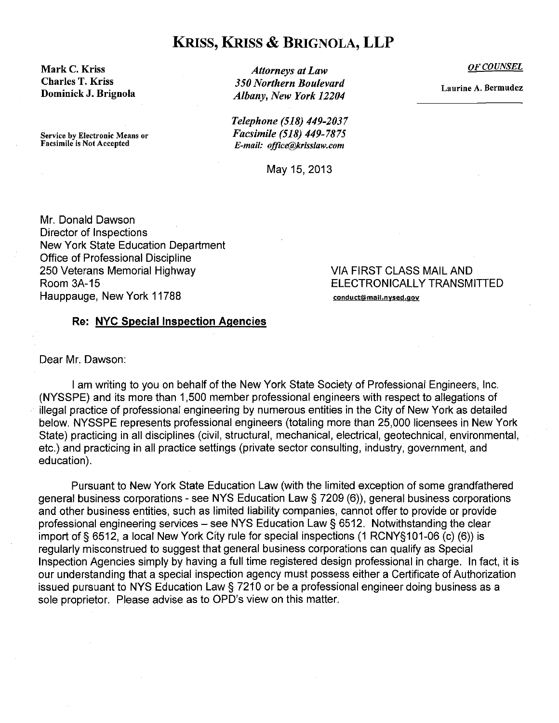### **KRISS, KRISS & BRIGNOLA, LLP**

Mark C. Kriss **Charles T. Kriss** Dominick J. Brignola

Service by Electronic Means or Facsimile is Not Accepted

**Attorneys at Law** 350 Northern Boulevard Albany, New York 12204

Telephone (518) 449-2037 Facsimile (518) 449-7875 E-mail: office@krisslaw.com

May 15, 2013

**OF COUNSEL** 

Laurine A. Bermudez

Mr. Donald Dawson Director of Inspections **New York State Education Department** Office of Professional Discipline 250 Veterans Memorial Highway **Room 3A-15** Hauppauge, New York 11788

VIA FIRST CLASS MAIL AND ELECTRONICALLY TRANSMITTED conduct@mail.nysed.gov

**Re: NYC Special Inspection Agencies** 

Dear Mr. Dawson:

I am writing to you on behalf of the New York State Society of Professional Engineers, Inc. (NYSSPE) and its more than 1,500 member professional engineers with respect to allegations of illegal practice of professional engineering by numerous entities in the City of New York as detailed below. NYSSPE represents professional engineers (totaling more than 25,000 licensees in New York State) practicing in all disciplines (civil, structural, mechanical, electrical, geotechnical, environmental, etc.) and practicing in all practice settings (private sector consulting, industry, government, and education).

Pursuant to New York State Education Law (with the limited exception of some grandfathered general business corporations - see NYS Education Law § 7209 (6)), general business corporations and other business entities, such as limited liability companies, cannot offer to provide or provide professional engineering services – see NYS Education Law § 6512. Notwithstanding the clear import of § 6512, a local New York City rule for special inspections (1 RCNY§101-06 (c) (6)) is regularly misconstrued to suggest that general business corporations can qualify as Special Inspection Agencies simply by having a full time registered design professional in charge. In fact, it is our understanding that a special inspection agency must possess either a Certificate of Authorization issued pursuant to NYS Education Law § 7210 or be a professional engineer doing business as a sole proprietor. Please advise as to OPD's view on this matter.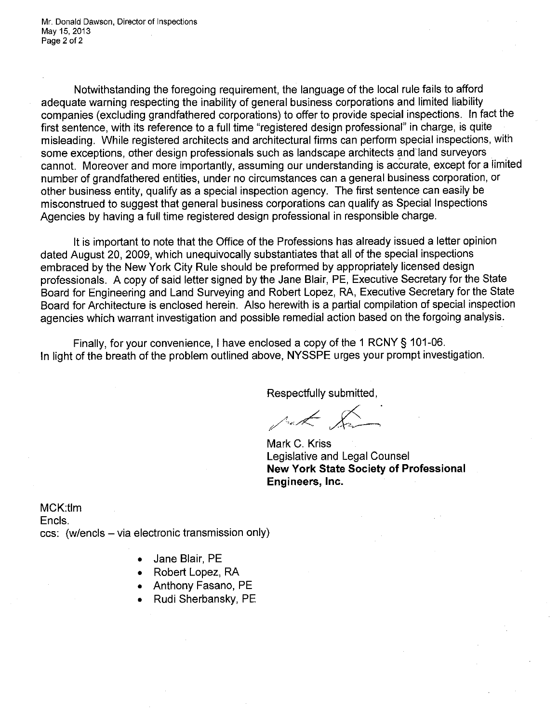Notwithstanding the foregoing requirement, the language of the local rule fails to afford adequate warning respecting the inability of general business corporations and limited liability companies (excluding grandfathered corporations) to offer to provide special inspections. In fact the first sentence, with its reference to a full time "registered design professional" in charge, is quite misleading. While registered architects and architectural firms can perform special inspections, with some exceptions, other design professionals such as landscape architects and land surveyors cannot. Moreover and more importantly, assuming our understanding is accurate, except for a limited number of grandfathered entities, under no circumstances can a general business corporation, or other business entity, qualify as a special inspection agency. The first sentence can easily be misconstrued to suggest that general business corporations can qualify as Special Inspections Agencies by having a full time registered design professional in responsible charge.

It is important to note that the Office of the Professions has already issued a letter opinion dated August 20, 2009, which unequivocally substantiates that all of the special inspections embraced by the New York City Rule should be preformed by appropriately licensed design professionals. A copy of said letter signed by the Jane Blair, PE, Executive Secretary for the State Board for Engineering and Land Surveying and Robert Lopez, RA, Executive Secretary for the State Board for Architecture is enclosed herein. Also herewith is a partial compilation of special inspection agencies which warrant investigation and possible remedial action based on the forgoing analysis.

Finally, for your convenience, I have enclosed a copy of the 1 RCNY § 101-06. In light of the breath of the problem outlined above, NYSSPE urges your prompt investigation.

Respectfully submitted,

put &

Mark C. Kriss Legislative and Legal Counsel **New York State Society of Professional** Engineers, Inc.

MCK:tlm Encls. ccs: (w/encls – via electronic transmission only)

- Jane Blair, PE
- Robert Lopez, RA
- Anthony Fasano, PE
- Rudi Sherbansky, PE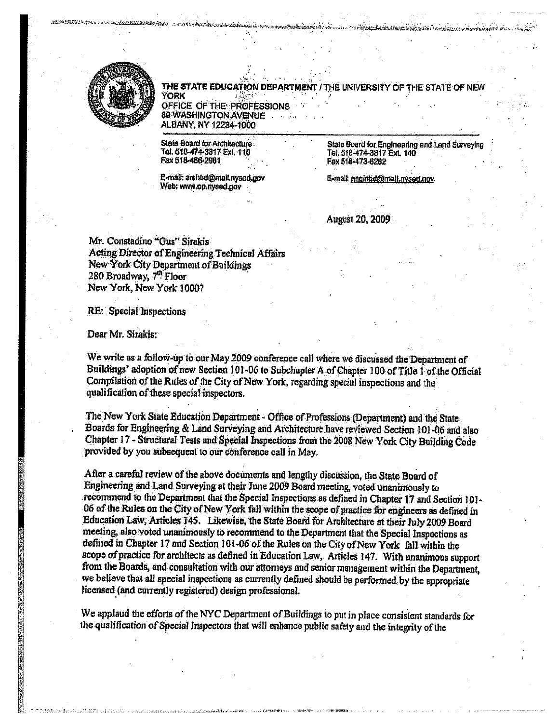

**SEMBREA** ASSESS

#### THE STATE EDUCATION DEPARTMENT / THE UNIVERSITY OF THE STATE OF NEW **YORK**

OFFICE OF THE PROFESSIONS 89 WASHINGTON AVENUE ALBANY, NY 12234-1000

**State Board for Architecture** Tel. 518-474-3817 Ext. 110 Fax 518-486-2981

E-mail: archbd@mail.nvsed.gov Web: www.op.nysed.gov

State Board for Engineering and Land Surveying Tel. 518-474-3817 Ext. 140 Fax 518-473-6282

E-mail: enginbd@mail.nvsed.gov

**August 20, 2009** 

Mr. Constadino "Gus" Sirakis Acting Director of Engineering Technical Affairs New York City Department of Buildings 280 Broadway, 7<sup>th</sup> Floor New York, New York 10007

**RE:** Special Inspections

Dear Mr. Sirakis:

We write as a follow-up to our May 2009 conference call where we discussed the Department of Buildings' adoption of new Section 101-06 to Subchapter A of Chapter 100 of Title 1 of the Official Compilation of the Rules of the City of New York, regarding special inspections and the qualification of these special inspectors.

The New York State Education Department - Office of Professions (Department) and the State Boards for Engineering & Land Surveying and Architecture have reviewed Section 101-06 and also Chapter 17 - Structural Tests and Special Inspections from the 2008 New York City Building Code provided by you subsequent to our conference call in May.

After a careful review of the above documents and lengthy discussion, the State Board of Engineering and Land Surveying at their June 2009 Board meeting, voted unanimously to recommend to the Department that the Special Inspections as defined in Chapter 17 and Section 101-06 of the Rules on the City of New York fall within the scope of practice for engineers as defined in Education Law, Articles 145. Likewise, the State Board for Architecture at their July 2009 Board meeting, also voted unanimously to recommend to the Department that the Special Inspections as defined in Chapter 17 and Section 101-06 of the Rules on the City of New York fall within the scope of practice for architects as defined in Education Law, Articles 147. With unanimous support from the Boards, and consultation with our attorneys and senior management within the Department, we believe that all special inspections as currently defined should be performed by the appropriate licensed (and currently registered) design professional.

We applaud the efforts of the NYC Department of Buildings to put in place consistent standards for the qualification of Special Inspectors that will enhance public safety and the integrity of the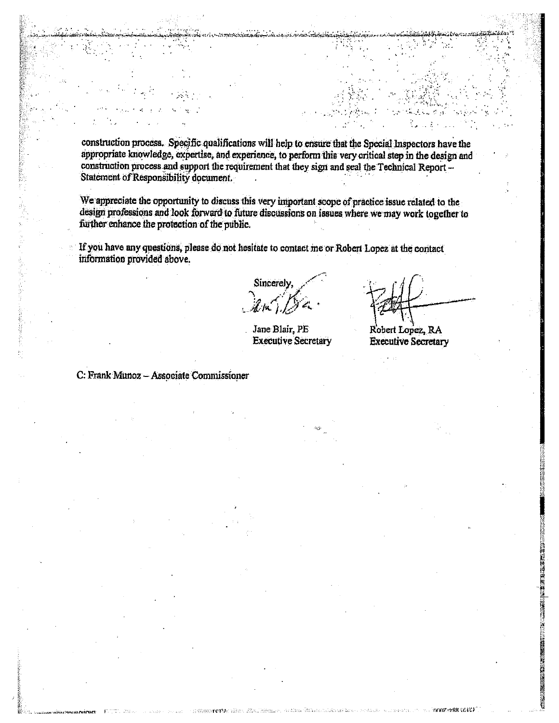construction process. Specific qualifications will help to ensure that the Special Inspectors have the appropriate knowledge, expertise, and experience, to perform this very critical step in the design and construction process and support the requirement that they sign and seal the Technical Report -Statement of Responsibility document.

We appreciate the opportunity to discuss this very important scope of practice issue related to the design professions and look forward to future discussions on issues where we may work together to further enhance the protection of the public.

If you have any questions, please do not hesitate to contact me or Robert Lopez at the contact information provided above.

Sincerel

Jane Blair, PE **Executive Secretary** 

Robert Lopez, RA **Executive Secretary** 

-ኮዩዝ (ሪቴሪ)

C: Frank Munoz - Associate Commissioner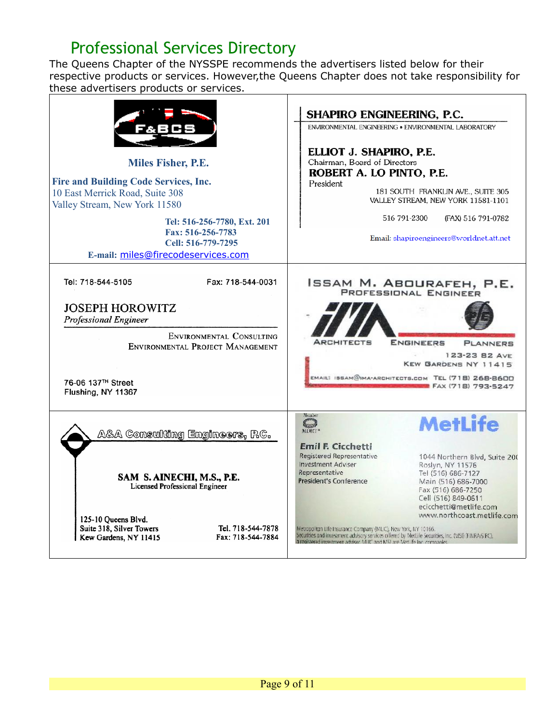## Professional Services Directory

The Queens Chapter of the NYSSPE recommends the advertisers listed below for their respective products or services. However,the Queens Chapter does not take responsibility for these advertisers products or services.

| F&BCS<br>Miles Fisher, P.E.<br><b>Fire and Building Code Services, Inc.</b><br>10 East Merrick Road, Suite 308<br>Valley Stream, New York 11580<br>Tel: 516-256-7780, Ext. 201<br>Fax: 516-256-7783<br>Cell: 516-779-7295<br>E-mail: miles@firecodeservices.com | SHAPIRO ENGINEERING, P.C.<br>ENVIRONMENTAL ENGINEERING . ENVIRONMENTAL LABORATORY<br>ELLIOT J. SHAPIRO, P.E.<br>Chairman, Board of Directors<br>ROBERT A. LO PINTO, P.E.<br>President<br>181 SOUTH FRANKLIN AVE., SUITE 305<br>VALLEY STREAM, NEW YORK 11581-1101<br>516 791-2300<br>(FAX) 516 791-0782<br>Email: shapiroengineers@worldnet.att.net |
|-----------------------------------------------------------------------------------------------------------------------------------------------------------------------------------------------------------------------------------------------------------------|-----------------------------------------------------------------------------------------------------------------------------------------------------------------------------------------------------------------------------------------------------------------------------------------------------------------------------------------------------|
| Tel: 718-544-5105<br>Fax: 718-544-0031                                                                                                                                                                                                                          | ISSAM M. ABOURAFEH, P.E.<br>PROFESSIONAL ENGINEER                                                                                                                                                                                                                                                                                                   |
| <b>JOSEPH HOROWITZ</b><br><b>Professional Engineer</b>                                                                                                                                                                                                          |                                                                                                                                                                                                                                                                                                                                                     |
| ENVIRONMENTAL CONSULTING<br>ENVIRONMENTAL PROJECT MANAGEMENT                                                                                                                                                                                                    | <b>ENGINEERS</b><br>ARCHITECTS<br><b>PLANNERS</b><br>123-23 B2 AVE                                                                                                                                                                                                                                                                                  |
| 76-06 137 <sup>TH</sup> Street<br>Flushing, NY 11367                                                                                                                                                                                                            | KEW GARDENS NY 11415<br>EMAIL: ISSAM@IMA-ARCHITECTS.COM TEL (718) 268-8600<br>FAX (718) 793-5247                                                                                                                                                                                                                                                    |
| A&A Consulting Engineers, P.C.                                                                                                                                                                                                                                  | Membe<br><b>MetLife</b><br><b>County</b><br>MDRT <sup>z</sup><br><b>Emil F. Cicchetti</b>                                                                                                                                                                                                                                                           |
| SAM S. AINECHI, M.S., P.E.<br>Licensed Professional Engineer                                                                                                                                                                                                    | Registered Representative<br>1044 Northern Blvd, Suite 200<br><b>Investment Adviser</b><br>Roslyn, NY 11576<br>Representative<br>Tel (516) 686-7127<br><b>President's Conference</b><br>Main (516) 686-7000<br>Fax (516) 686-7250<br>Cell (516) 849-0611<br>ecicchetti@metlife.com                                                                  |
| 125-10 Oueens Blvd.<br>Suite 318, Silver Towers<br>Tel. 718-544-7878<br>Fax: 718-544-7884<br>Kew Gardens, NY 11415                                                                                                                                              | www.northcoast.metlife.com<br>Metropolitan Life Insurance Company (MLIC), New York, NY 10166.<br>Securities and investment advisory services offered by MetLife Securities, Inc. (MSI) (FINRA/SIPC),<br>a registered investment advisor. MLIC and MSI are MetLife Inc. companies.                                                                   |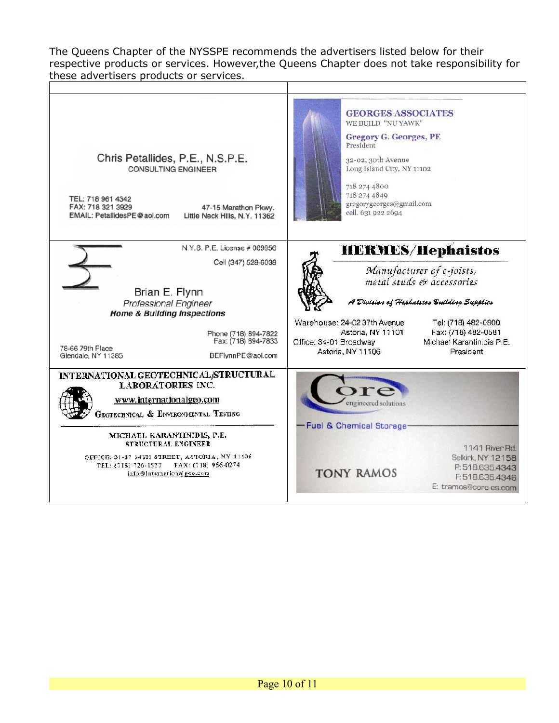The Queens Chapter of the NYSSPE recommends the advertisers listed below for their respective products or services. However,the Queens Chapter does not take responsibility for these advertisers products or services.